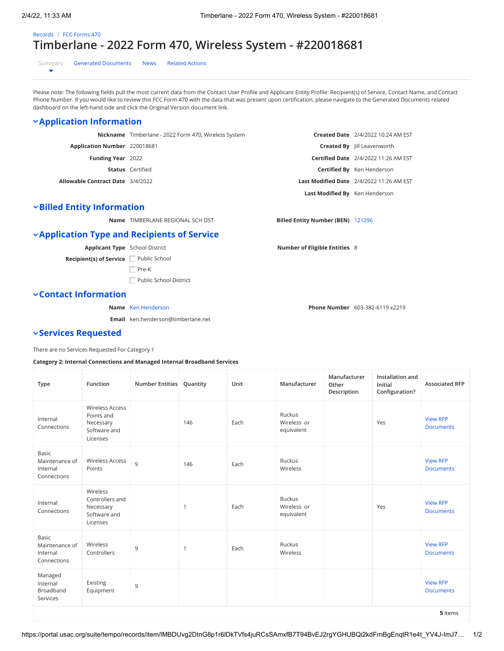# [Records](https://portal.usac.org/suite/tempo/records) / [FCC Forms 470](https://portal.usac.org/suite/tempo/records/type/fmRaVQ/view/all) **Timberlane - 2022 Form 470, Wireless System - #220018681**

[Summary](https://portal.usac.org/suite/tempo/records/item/lMBDUvg2DtnG8p1r6lDkTVfs4juRCsSAmxfB7T94BvEJ2rgYGHUBQi2kdFrnBgEnqtR1e4t_YV4J-ImJ7h7-0tBvYwuTg9aZCV9GlmafrJrjSjK3Q/view/summary) [Generated Documents](https://portal.usac.org/suite/tempo/records/item/lMBDUvg2DtnG8p1r6lDkTVfs4juRCsSAmxfB7T94BvEJ2rgYGHUBQi2kdFrnBgEnqtR1e4t_YV4J-ImJ7h7-0tBvYwuTg9aZCV9GlmafrJrjSjK3Q/view/_VBQ1Dw) [News](https://portal.usac.org/suite/tempo/records/item/lMBDUvg2DtnG8p1r6lDkTVfs4juRCsSAmxfB7T94BvEJ2rgYGHUBQi2kdFrnBgEnqtR1e4t_YV4J-ImJ7h7-0tBvYwuTg9aZCV9GlmafrJrjSjK3Q/view/news) [Related Actions](https://portal.usac.org/suite/tempo/records/item/lMBDUvg2DtnG8p1r6lDkTVfs4juRCsSAmxfB7T94BvEJ2rgYGHUBQi2kdFrnBgEnqtR1e4t_YV4J-ImJ7h7-0tBvYwuTg9aZCV9GlmafrJrjSjK3Q/view/actions)  $\overline{\phantom{0}}$ 

Please note: The following fields pull the most current data from the Contact User Profile and Applicant Entity Profile: Recipient(s) of Service, Contact Name, and Contact Phone Number. If you would like to review this FCC Form 470 with the data that was present upon certification, please navigate to the Generated Documents related dashboard on the left-hand side and click the Original Version document link.

## **Application Information**

|                                         | Nickname Timberlane - 2022 Form 470, Wireless System |                                | <b>Created Date</b> 2/4/2022 10:24 AM EST       |
|-----------------------------------------|------------------------------------------------------|--------------------------------|-------------------------------------------------|
| Application Number 220018681            |                                                      |                                | <b>Created By</b> Jill Leavenworth              |
| <b>Funding Year</b> 2022                |                                                      |                                | <b>Certified Date</b> 2/4/2022 11:26 AM EST     |
|                                         | <b>Status</b> Certified                              |                                | <b>Certified By</b> Ken Henderson               |
| <b>Allowable Contract Date</b> 3/4/2022 |                                                      |                                | <b>Last Modified Date</b> 2/4/2022 11:26 AM EST |
|                                         |                                                      | Last Modified By Ken Henderson |                                                 |

### **Billed Entity Information**

**Name** TIMBERLANE REGIONAL SCH DST **Billed Entity Number (BEN)** [121296](https://portal.usac.org/suite/tempo/records/item/lYBDUvg2DtnG8p1r6dDkTVfs7HcdVWZ-z0lFPZtEylj6-9vpnR6Xk0nsE1YaykWomTCde1gVUrWZyFh5QZaLmHSHJVee6kV2wHsUk5sHuJd4dTzGoIVPQ/view/summary)

## **Application Type and Recipients of Service**

**Applicant Type** School District

**Recipient(s) of Service** Public School

 $\Box$  Pre-K

Public School District

#### **Contact Information**

**Name** [Ken Henderson](https://portal.usac.org/suite/tempo/records/item/noBDUvg2DtnG8p1r6BDkTVfsxC2j3C_qfvx5ZKvmbhev5uAH-dlEPDmtay-sgc7lutHRTEWtks3c4AueJTmNIsgh1ZRlk-EIxqFeGmOOfJcn1jXjBon2y04i1eKJOF2C8eElJOe0667uVmQqnAb85B9RK4sYafcHdA59Q/view/summary)

**Email** ken.henderson@timberlane.net

#### **Services Requested**

There are no Services Requested For Category 1

#### **Category 2: Internal Connections and Managed Internal Broadband Services**

| <b>Type</b>                                               | Function                                                                      | Number Entities Quantity |              | Unit | Manufacturer                        | Manufacturer<br>Other<br>Description | Installation and<br>Initial<br>Configuration? | <b>Associated RFP</b>               |  |
|-----------------------------------------------------------|-------------------------------------------------------------------------------|--------------------------|--------------|------|-------------------------------------|--------------------------------------|-----------------------------------------------|-------------------------------------|--|
| Internal<br>Connections                                   | <b>Wireless Access</b><br>Points and<br>Necessary<br>Software and<br>Licenses |                          | 146          | Each | Ruckus<br>Wireless or<br>equivalent |                                      | Yes                                           | <b>View RFP</b><br><b>Documents</b> |  |
| Basic<br>Maintenance of<br>Internal<br>Connections        | <b>Wireless Access</b><br>Points                                              | 9                        | 146          | Each | Ruckus<br>Wireless                  |                                      |                                               | <b>View RFP</b><br><b>Documents</b> |  |
| Internal<br>Connections                                   | Wireless<br>Controllers and<br>Necessary<br>Software and<br>Licenses          |                          | $\mathbf{1}$ | Each | Ruckus<br>Wireless or<br>equivalent |                                      | Yes                                           | <b>View RFP</b><br><b>Documents</b> |  |
| <b>Basic</b><br>Maintenance of<br>Internal<br>Connections | Wireless<br>Controllers                                                       | 9                        | 1            | Each | Ruckus<br>Wireless                  |                                      |                                               | <b>View RFP</b><br><b>Documents</b> |  |
| Managed<br>Internal<br>Broadband<br>Services              | Existing<br>Equipment                                                         | 9                        |              |      |                                     |                                      |                                               | <b>View RFP</b><br><b>Documents</b> |  |
| 5 items                                                   |                                                                               |                          |              |      |                                     |                                      |                                               |                                     |  |

**Number of Eligible Entities** 8

**Phone Number** 603-382-6119 x2219